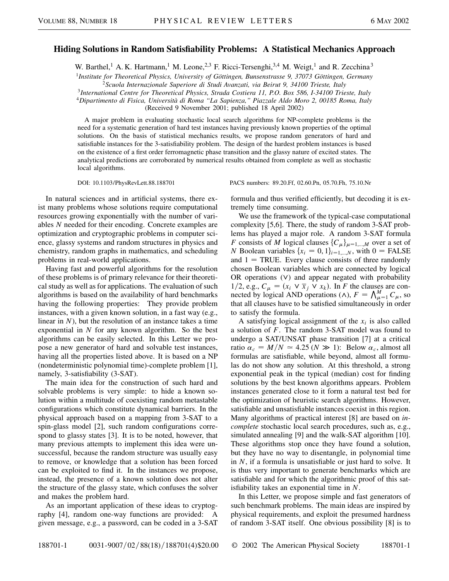## **Hiding Solutions in Random Satisfiability Problems: A Statistical Mechanics Approach**

W. Barthel,<sup>1</sup> A. K. Hartmann,<sup>1</sup> M. Leone,<sup>2,3</sup> F. Ricci-Tersenghi,<sup>3,4</sup> M. Weigt,<sup>1</sup> and R. Zecchina<sup>3</sup>

<sup>1</sup>*Institute for Theoretical Physics, University of Göttingen, Bunsenstrasse 9, 37073 Göttingen, Germany* <sup>2</sup>*Scuola Internazionale Superiore di Studi Avanzati, via Beirut 9, 34100 Trieste, Italy*

<sup>3</sup>*International Centre for Theoretical Physics, Strada Costiera 11, P.O. Box 586, I-34100 Trieste, Italy*

<sup>4</sup>*Dipartimento di Fisica, Università di Roma "La Sapienza," Piazzale Aldo Moro 2, 00185 Roma, Italy* (Received 9 November 2001; published 18 April 2002)

A major problem in evaluating stochastic local search algorithms for NP-complete problems is the need for a systematic generation of hard test instances having previously known properties of the optimal solutions. On the basis of statistical mechanics results, we propose random generators of hard and satisfiable instances for the 3-satisfiability problem. The design of the hardest problem instances is based on the existence of a first order ferromagnetic phase transition and the glassy nature of excited states. The analytical predictions are corroborated by numerical results obtained from complete as well as stochastic local algorithms.

In natural sciences and in artificial systems, there exist many problems whose solutions require computational resources growing exponentially with the number of variables *N* needed for their encoding. Concrete examples are optimization and cryptographic problems in computer science, glassy systems and random structures in physics and chemistry, random graphs in mathematics, and scheduling problems in real-world applications.

Having fast and powerful algorithms for the resolution of these problems is of primary relevance for their theoretical study as well as for applications. The evaluation of such algorithms is based on the availability of hard benchmarks having the following properties: They provide problem instances, with a given known solution, in a fast way (e.g., linear in *N*), but the resolution of an instance takes a time exponential in *N* for any known algorithm. So the best algorithms can be easily selected. In this Letter we propose a new generator of hard and solvable test instances, having all the properties listed above. It is based on a NP (nondeterministic polynomial time)-complete problem [1], namely, 3-satisfiability (3-SAT).

The main idea for the construction of such hard and solvable problems is very simple: to hide a known solution within a multitude of coexisting random metastable configurations which constitute dynamical barriers. In the physical approach based on a mapping from 3-SAT to a spin-glass model [2], such random configurations correspond to glassy states [3]. It is to be noted, however, that many previous attempts to implement this idea were unsuccessful, because the random structure was usually easy to remove, or knowledge that a solution has been forced can be exploited to find it. In the instances we propose, instead, the presence of a known solution does not alter the structure of the glassy state, which confuses the solver and makes the problem hard.

As an important application of these ideas to cryptography [4], random one-way functions are provided: A given message, e.g., a password, can be coded in a 3-SAT

DOI: 10.1103/PhysRevLett.88.188701 PACS numbers: 89.20.Ff, 02.60.Pn, 05.70.Fh, 75.10.Nr

formula and thus verified efficiently, but decoding it is extremely time consuming.

We use the framework of the typical-case computational complexity [5,6]. There, the study of random 3-SAT problems has played a major role. A random 3-SAT formula *F* consists of *M* logical clauses  $\{C_{\mu}\}_{\mu=1,\dots,M}$  over a set of *N* Boolean variables  $\{x_i = 0, 1\}_{i=1,\dots,N}$ , with  $0 = \text{FALSE}$ and  $1 = TRUE$ . Every clause consists of three randomly chosen Boolean variables which are connected by logical OR operations  $(V)$  and appear negated with probability 1/2, e.g.,  $C_{\mu} = (x_i \vee \overline{x}_j \vee x_k)$ . In *F* the clauses are connected by logical AND operations ( $\wedge$ ),  $F = \bigwedge_{\mu=1}^{M} C_{\mu}$ , so that all clauses have to be satisfied simultaneously in order to satisfy the formula.

A satisfying logical assignment of the  $x_i$  is also called a solution of *F*. The random 3-SAT model was found to undergo a SAT/UNSAT phase transition [7] at a critical ratio  $\alpha_c = M/N \approx 4.25$  ( $N \gg 1$ ): Below  $\alpha_c$ , almost all formulas are satisfiable, while beyond, almost all formulas do not show any solution. At this threshold, a strong exponential peak in the typical (median) cost for finding solutions by the best known algorithms appears. Problem instances generated close to it form a natural test bed for the optimization of heuristic search algorithms. However, satisfiable and unsatisfiable instances coexist in this region. Many algorithms of practical interest [8] are based on *incomplete* stochastic local search procedures, such as, e.g., simulated annealing [9] and the walk-SAT algorithm [10]. These algorithms stop once they have found a solution, but they have no way to disentangle, in polynomial time in *N*, if a formula is unsatisfiable or just hard to solve. It is thus very important to generate benchmarks which are satisfiable and for which the algorithmic proof of this satisfiability takes an exponential time in *N*.

In this Letter, we propose simple and fast generators of such benchmark problems. The main ideas are inspired by physical requirements, and exploit the presumed hardness of random 3-SAT itself. One obvious possibility [8] is to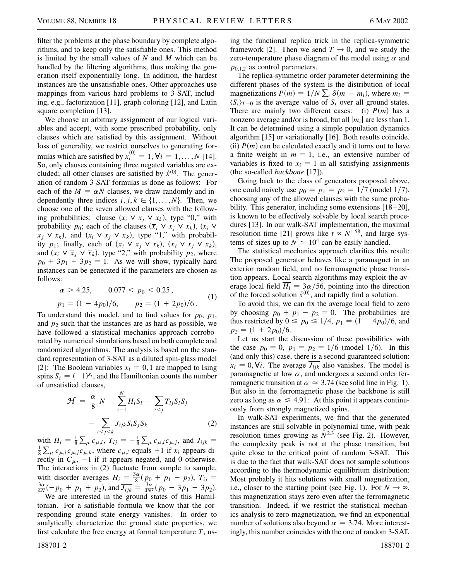filter the problems at the phase boundary by complete algorithms, and to keep only the satisfiable ones. This method is limited by the small values of *N* and *M* which can be handled by the filtering algorithms, thus making the generation itself exponentially long. In addition, the hardest instances are the unsatisfiable ones. Other approaches use mappings from various hard problems to 3-SAT, including, e.g., factorization [11], graph coloring [12], and Latin square completion [13].

We choose an arbitrary assignment of our logical variables and accept, with some prescribed probability, only clauses which are satisfied by this assignment. Without loss of generality, we restrict ourselves to generating formulas which are satisfied by  $x_i^{(0)} = 1$ ,  $\forall i = 1, ..., N$  [14]. So, only clauses containing three negated variables are excluded; all other clauses are satisfied by  $\vec{x}^{(0)}$ . The generation of random 3-SAT formulas is done as follows: For each of the  $M = \alpha N$  clauses, we draw randomly and independently three indices  $i, j, k \in \{1, ..., N\}$ . Then, we choose one of the seven allowed clauses with the following probabilities: clause  $(x_i \vee x_j \vee x_k)$ , type "0," with probability  $p_0$ ; each of the clauses  $(\overline{x}_i \lor x_j \lor x_k)$ ,  $(x_i \lor x_j \lor x_k)$  $\overline{x}_i \vee x_k$ , and  $(x_i \vee x_j \vee \overline{x}_k)$ , type "1," with probability  $p_1$ ; finally, each of  $(\overline{x}_i \vee \overline{x}_j \vee x_k)$ ,  $(\overline{x}_i \vee x_j \vee \overline{x}_k)$ , and  $(x_i \vee \overline{x}_j \vee \overline{x}_k)$ , type "2," with probability  $p_2$ , where  $p_0 + 3p_1 + 3p_2 = 1$ . As we will show, typically hard instances can be generated if the parameters are chosen as follows:

$$
\alpha > 4.25, \qquad 0.077 < p_0 < 0.25,
$$
\n
$$
p_1 = (1 - 4p_0)/6, \qquad p_2 = (1 + 2p_0)/6. \tag{1}
$$

To understand this model, and to find values for  $p_0$ ,  $p_1$ , and  $p_2$  such that the instances are as hard as possible, we have followed a statistical mechanics approach corroborated by numerical simulations based on both complete and randomized algorithms. The analysis is based on the standard representation of 3-SAT as a diluted spin-glass model [2]: The Boolean variables  $x_i = 0$ , 1 are mapped to Ising spins  $S_i = (-1)^{x_i}$ , and the Hamiltonian counts the number of unsatisfied clauses,

$$
\mathcal{H} = \frac{\alpha}{8} N - \sum_{i=1}^{N} H_i S_i - \sum_{i < j} T_{ij} S_i S_j
$$
\n
$$
- \sum_{i < j < k} J_{ijk} S_i S_j S_k \tag{2}
$$

with  $H_i = \frac{1}{8}$  $\sum_{\mu} c_{\mu,i}, T_{ij} = -\frac{1}{8}$ with  $H_i = \frac{1}{8} \sum_{\mu} c_{\mu,i}$ ,  $T_{ij} = -\frac{1}{8} \sum_{\mu} c_{\mu,i} c_{\mu,j}$ , and  $J_{ijk} = \frac{1}{8} \sum_{\mu} c_{\mu,i} c_{\mu,j}$ , and  $J_{ijk} =$ 8  $\sum_{\mu} c_{\mu,i} c_{\mu,j} c_{\mu,k}$ , where  $c_{\mu,i}$  equals +1 if *x<sub>i</sub>* appears directly in  $C_{\mu}$ , -1 if it appears negated, and 0 otherwise. The interactions in (2) fluctuate from sample to sample, with disorder averages  $\overline{H_i} = \frac{3\alpha}{8} (p_0 + p_1 - p_2), \overline{T_{ij}} =$ <br> $\frac{3\alpha}{8} (p_0 + p_1 - p_2)$  $\frac{3\alpha}{4N}(-p_0 + p_1 + p_2)$ , and  $\overline{J_{ijk}} = \frac{3\alpha}{4N^2}(p_0 - 3p_1 + 3p_2)$ .

We are interested in the ground states of this Hamiltonian. For a satisfiable formula we know that the corresponding ground state energy vanishes. In order to analytically characterize the ground state properties, we first calculate the free energy at formal temperature *T*, using the functional replica trick in the replica-symmetric framework [2]. Then we send  $T \rightarrow 0$ , and we study the zero-temperature phase diagram of the model using  $\alpha$  and  $p_{0,1,2}$  as control parameters.

The replica-symmetric order parameter determining the different phases of the system is the distribution of local magnetizations  $P(m) = 1/N \sum_i \delta(m - m_i)$ , where  $m_i =$  $\langle S_i \rangle_{T=0}$  is the average value of  $S_i$  over all ground states. There are mainly two different cases: (i)  $P(m)$  has a nonzero average and/or is broad, but all  $|m_i|$  are less than 1. It can be determined using a simple population dynamics algorithm [15] or variationally [16]. Both results coincide. (ii)  $P(m)$  can be calculated exactly and it turns out to have a finite weight in  $m = 1$ , i.e., an extensive number of variables is fixed to  $x_i = 1$  in all satisfying assignments (the so-called *backbone* [17]).

Going back to the class of generators proposed above, one could naively use  $p_0 = p_1 = p_2 = 1/7$  (model 1/7), choosing any of the allowed clauses with the same probability. This generator, including some extensions [18–20], is known to be effectively solvable by local search procedures [13]. In our walk-SAT implementation, the maximal resolution time [21] grows like  $t \propto N^{1.58}$ , and large systems of sizes up to  $N \approx 10^4$  can be easily handled.

The statistical mechanics approach clarifies this result: The proposed generator behaves like a paramagnet in an exterior random field, and no ferromagnetic phase transition appears. Local search algorithms may exploit the average local field  $\overline{H_i} = 3\alpha/56$ , pointing into the direction of the forced solution  $\vec{x}^{(0)}$ , and rapidly find a solution.

To avoid this, we can fix the average local field to zero by choosing  $p_0 + p_1 - p_2 = 0$ . The probabilities are thus restricted by  $0 \le p_0 \le 1/4$ ,  $p_1 = (1 - 4p_0)/6$ , and  $p_2 = (1 + 2p_0)/6.$ 

Let us start the discussion of these possibilities with the case  $p_0 = 0$ ,  $p_1 = p_2 = 1/6$  (model 1/6). In this (and only this) case, there is a second guaranteed solution:  $x_i = 0$ ,  $\forall i$ . The average  $\overline{J_{iik}}$  also vanishes. The model is paramagnetic at low  $\alpha$ , and undergoes a second order ferromagnetic transition at  $\alpha \approx 3.74$  (see solid line in Fig. 1). But also in the ferromagnetic phase the backbone is still zero as long as  $\alpha \leq 4.91$ : At this point it appears continuously from strongly magnetized spins.

In walk-SAT experiments, we find that the generated instances are still solvable in polynomial time, with peak resolution times growing as  $N^{2.3}$  (see Fig. 2). However, the complexity peak is not at the phase transition, but quite close to the critical point of random 3-SAT. This is due to the fact that walk-SAT does not sample solutions according to the thermodynamic equilibrium distribution: Most probably it hits solutions with small magnetization, i.e., closer to the starting point (see Fig. 1). For  $N \to \infty$ , this magnetization stays zero even after the ferromagnetic transition. Indeed, if we restrict the statistical mechanics analysis to zero magnetization, we find an exponential number of solutions also beyond  $\alpha = 3.74$ . More interestingly, this number coincides with the one of random 3-SAT,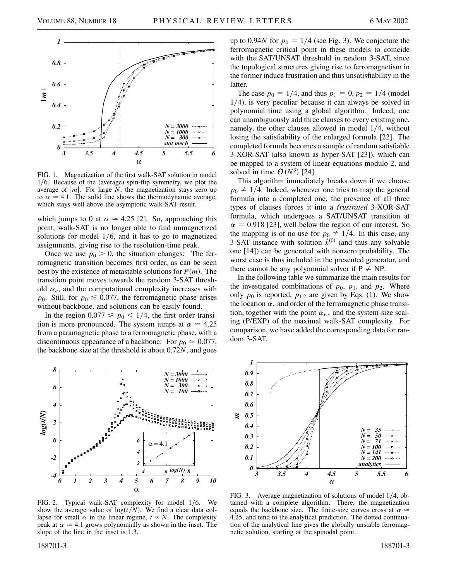

FIG. 1. Magnetization of the first walk-SAT solution in model  $1/6$ . Because of the (average) spin-flip symmetry, we plot the average of  $|m|$ . For large  $N$ , the magnetization stays zero up to  $\alpha \approx 4.1$ . The solid line shows the thermodynamic average, which stays well above the asymptotic walk-SAT result.

which jumps to 0 at  $\alpha \approx 4.25$  [2]. So, approaching this point, walk-SAT is no longer able to find unmagnetized solutions for model  $1/6$ , and it has to go to magnetized assignments, giving rise to the resolution-time peak.

Once we use  $p_0 > 0$ , the situation changes: The ferromagnetic transition becomes first order, as can be seen best by the existence of metastable solutions for  $P(m)$ . The transition point moves towards the random 3-SAT threshold  $\alpha_c$ , and the computational complexity increases with  $p_0$ . Still, for  $p_0 \le 0.077$ , the ferromagnetic phase arises without backbone, and solutions can be easily found.

In the region  $0.077 \le p_0 < 1/4$ , the first order transition is more pronounced. The system jumps at  $\alpha \simeq 4.25$ from a paramagnetic phase to a ferromagnetic phase, with a discontinuous appearance of a backbone: For  $p_0 \approx 0.077$ , the backbone size at the threshold is about 0.72*N*, and goes



FIG. 2. Typical walk-SAT complexity for model  $1/6$ . We show the average value of  $log(t/N)$ . We find a clear data collapse for small  $\alpha$  in the linear regime,  $t \propto N$ . The complexity peak at  $\alpha \simeq 4.1$  grows polynomially as shown in the inset. The slope of the line in the inset is 1.3.

up to 0.94*N* for  $p_0 = 1/4$  (see Fig. 3). We conjecture the ferromagnetic critical point in these models to coincide with the SAT/UNSAT threshold in random 3-SAT, since the topological structures giving rise to ferromagnetism in the former induce frustration and thus unsatisfiability in the latter.

The case  $p_0 = 1/4$ , and thus  $p_1 = 0$ ,  $p_2 = 1/4$  (model  $1/4$ ), is very peculiar because it can always be solved in polynomial time using a global algorithm. Indeed, one can unambiguously add three clauses to every existing one, namely, the other clauses allowed in model  $1/4$ , without losing the satisfiability of the enlarged formula [22]. The completed formula becomes a sample of random satisfiable 3-XOR-SAT (also known as hyper-SAT [23]), which can be mapped to a system of linear equations modulo 2, and solved in time  $\mathcal{O}(N^3)$  [24].

This algorithm immediately breaks down if we choose  $p_0 \neq 1/4$ . Indeed, whenever one tries to map the general formula into a completed one, the presence of all three types of clauses forces it into a *frustrated* 3-XOR-SAT formula, which undergoes a SAT/UNSAT transition at  $\alpha$  = 0.918 [23], well below the region of our interest. So the mapping is of no use for  $p_0 \neq 1/4$ . In this case, any 3-SAT instance with solution  $\vec{x}^{(0)}$  (and thus any solvable one [14]) can be generated with nonzero probability. The worst case is thus included in the presented generator, and there cannot be any polynomial solver if  $P \neq NP$ .

In the following table we summarize the main results for the investigated combinations of  $p_0$ ,  $p_1$ , and  $p_2$ . Where only  $p_0$  is reported,  $p_{1,2}$  are given by Eqs. (1). We show the location  $\alpha_c$  and order of the ferromagnetic phase transition, together with the point  $\alpha_{ws}$  and the system-size scaling (P/EXP) of the maximal walk-SAT complexity. For comparison, we have added the corresponding data for random 3-SAT.



FIG. 3. Average magnetization of solutions of model  $1/4$ , obtained with a complete algorithm. There, the magnetization equals the backbone size. The finite-size curves cross at  $\alpha \approx$ 4.25, and tend to the analytical prediction. The dotted continuation of the analytical line gives the globally unstable ferromagnetic solution, starting at the spinodal point.